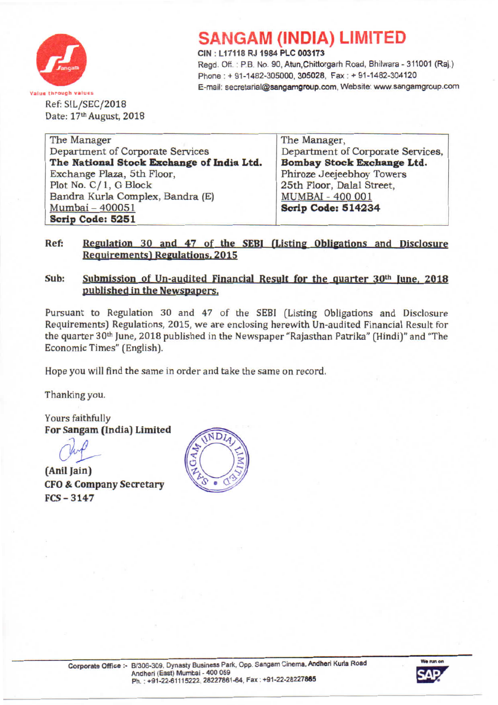

## **SANGAM (INDIA) LIMITED**

CIN : L 17118 RJ 1984 PLC 003173

Regd. Off. : P.B No. 90, Atun,Chittorgarh Road, Bhilwara - 311001 (Raj.) Phone: + 91-1482-305000, 305028, Fax: + 91-1482-304120 E-mail: secretarial@sangamgroup.com, Website: www.sangamgroup.com

Ref: SIL/SEC/2018 Date: 17th August, 2018

| The Manager                               | The Manager,<br>Department of Corporate Services, |  |  |
|-------------------------------------------|---------------------------------------------------|--|--|
| Department of Corporate Services          |                                                   |  |  |
| The National Stock Exchange of India Ltd. | Bombay Stock Exchange Ltd.                        |  |  |
| Exchange Plaza, 5th Floor,                | Phiroze Jeejeebhoy Towers                         |  |  |
| Plot No. C/1, G Block                     | 25th Floor, Dalal Street,                         |  |  |
| Bandra Kurla Complex, Bandra (E)          | <b>MUMBAI - 400 001</b>                           |  |  |
| Mumbai - 400051                           | Scrip Code: 514234                                |  |  |
| Scrip Code: 5251                          |                                                   |  |  |

#### Ref: Regulation 30 and 47 of the SEBI (Listing Obligations and Disclosure **Requirements) Regulations, 2015**

### Sub: Submission of Un-audited Financial Result for the quarter 30<sup>th</sup> June, 2018 published in the Newspapers.

Pursuant to Regulation 30 and 47 of the SEBI (Listing Obligations and Disclosure Requirements) Regulations, 2015, we are enclosing herewith Un-audited Financial Result for the quarter 30th June, 2018 published in the Newspaper "Rajasthan Patrika" (Hindi)" and "The Economic Times" (English).

Hope you will find the same in order and take the same on record.

Thanking you.

Yours faithfully For Sangam (India) Limited

June 1

(Anil Jain) CFO& Company Secretary FCS- 3147



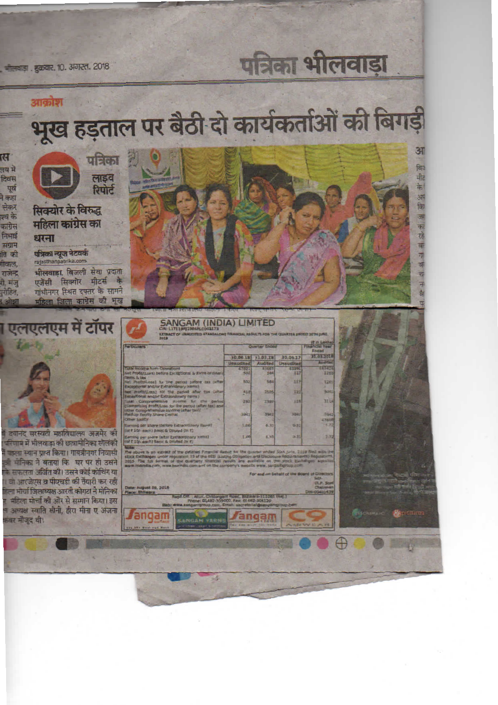पत्रिका भीलवाड़ा

, मीलवाड़ा , शुक्रवार, 10, अगस्त, 2018

# आक्रोश भूख हड़ताल पर बैठी दो कार्यकर्ताओं की बिगड़ी

त्स लय मे दिवस पूर्व ने कहा लेकर श्व के

कांग्रेस

निभाई

संग्राम

ति की

गीवाल,

राजेन्द्र

री. मंज

रोहित

पत्रिका लाइव<br>रिपोर्ट

सिक्योर के विरुद्ध महिला कांग्रेस का

धरना पत्रिका न्यूज नेटवर्क

भीलवाड़ा, बिजली सेवा प्रदाता एजेंसी सिक्योर मीटर्स के गांधीनगर स्थित दफ्तर के सामने महिला जिला कांग्रेस की भूख